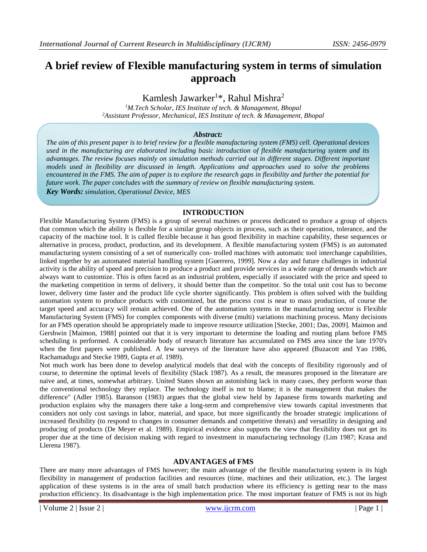# **A brief review of Flexible manufacturing system in terms of simulation approach**

Kamlesh Jawarker<sup>1\*</sup>, Rahul Mishra<sup>2</sup>

*<sup>1</sup>M.Tech Scholar, IES Institute of tech. & Management, Bhopal <sup>2</sup>Assistant Professor, Mechanical, IES Institute of tech. & Management, Bhopal*

## *Abstract:*

*The aim of this present paper is to brief review for a flexible manufacturing system (FMS) cell. Operational devices used in the manufacturing are elaborated including basic introduction of flexible manufacturing system and its advantages. The review focuses mainly on simulation methods carried out in different stages. Different important models used in flexibility are discussed in length. Applications and approaches used to solve the problems encountered in the FMS. The aim of paper is to explore the research gaps in flexibility and further the potential for future work. The paper concludes with the summary of review on flexible manufacturing system. Key Words: simulation, Operational Device, MES*

# **INTRODUCTION**

Flexible Manufacturing System (FMS) is a group of several machines or process dedicated to produce a group of objects that common which the ability is flexible for a similar group objects in process, such as their operation, tolerance, and the capacity of the machine tool. It is called flexible because it has good flexibility in machine capability, these sequences or alternative in process, product, production, and its development. A flexible manufacturing system (FMS) is an automated manufacturing system consisting of a set of numerically con- trolled machines with automatic tool interchange capabilities, linked together by an automated material handling system [Guerrero, 1999]. Now a day and future challenges in industrial activity is the ability of speed and precision to produce a product and provide services in a wide range of demands which are always want to customize. This is often faced as an industrial problem, especially if associated with the price and speed to the marketing competition in terms of delivery, it should better than the competitor. So the total unit cost has to become lower, delivery time faster and the product life cycle shorter significantly. This problem is often solved with the building automation system to produce products with customized, but the process cost is near to mass production, of course the target speed and accuracy will remain achieved. One of the automation systems in the manufacturing sector is Flexible Manufacturing System (FMS) for complex components with diverse (multi) variations machining process. Many decisions for an FMS operation should be appropriately made to improve resource utilization [Stecke, 2001; Das, 2009]. Maimon and Gershwin [Maimon, 1988] pointed out that it is very important to determine the loading and routing plans before FMS scheduling is performed. A considerable body of research literature has accumulated on FMS area since the late 1970's when the first papers were published. A few surveys of the literature have also appeared (Buzacott and Yao 1986, Rachamadugu and Stecke 1989, Gupta *et al.* 1989).

Not much work has been done to develop analytical models that deal with the concepts of flexibility rigorously and of course, to determine the optimal levels of flexibility (Slack 1987). As a result, the measures proposed in the literature are naive and, at times, somewhat arbitrary. United States shown an astonishing lack in many cases, they perform worse than the conventional technology they replace. The technology itself is not to blame; it is the management that makes the difference" (Adler 1985). Baranson (1983) argues that the global view held by Japanese firms towards marketing and production explains why the managers there take a long-term and comprehensive view towards capital investments that considers not only cost savings in labor, material, and space, but more significantly the broader strategic implications of increased flexibility (to respond to changes in consumer demands and competitive threats) and versatility in designing and producing of products (De Meyer et al. 1989). Empirical evidence also supports the view that flexibility does not get its proper due at the time of decision making with regard to investment in manufacturing technology (Lim 1987; Krasa and Llerena 1987).

### **ADVANTAGES of FMS**

There are many more advantages of FMS however; the main advantage of the flexible manufacturing system is its high flexibility in management of production facilities and resources (time, machines and their utilization, etc.). The largest application of these systems is in the area of small batch production where its efficiency is getting near to the mass production efficiency. Its disadvantage is the high implementation price. The most important feature of FMS is not its high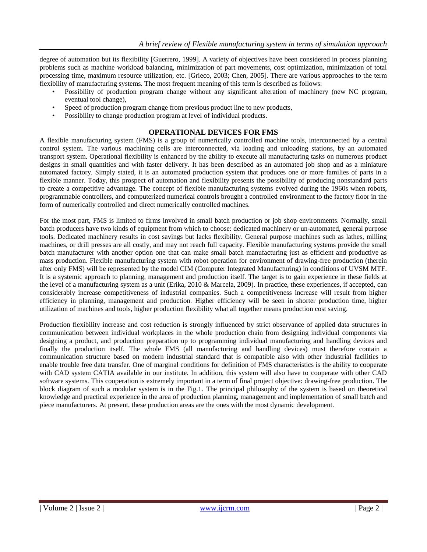degree of automation but its flexibility [Guerrero, 1999]. A variety of objectives have been considered in process planning problems such as machine workload balancing, minimization of part movements, cost optimization, minimization of total processing time, maximum resource utilization, etc. [Grieco, 2003; Chen, 2005]. There are various approaches to the term flexibility of manufacturing systems. The most frequent meaning of this term is described as follows:

- Possibility of production program change without any significant alteration of machinery (new NC program, eventual tool change),
- Speed of production program change from previous product line to new products,
- Possibility to change production program at level of individual products.

# **OPERATIONAL DEVICES FOR FMS**

A flexible manufacturing system (FMS) is a group of numerically controlled machine tools, interconnected by a central control system. The various machining cells are interconnected, via loading and unloading stations, by an automated transport system. Operational flexibility is enhanced by the ability to execute all manufacturing tasks on numerous product designs in small quantities and with faster delivery. It has been described as an automated job shop and as a miniature automated factory. Simply stated, it is an automated production system that produces one or more families of parts in a flexible manner. Today, this prospect of automation and flexibility presents the possibility of producing nonstandard parts to create a competitive advantage. The concept of flexible manufacturing systems evolved during the 1960s when robots, programmable controllers, and computerized numerical controls brought a controlled environment to the factory floor in the form of numerically controlled and direct numerically controlled machines.

For the most part, FMS is limited to firms involved in small batch production or job shop environments. Normally, small batch producers have two kinds of equipment from which to choose: dedicated machinery or un-automated, general purpose tools. Dedicated machinery results in cost savings but lacks flexibility. General purpose machines such as lathes, milling machines, or drill presses are all costly, and may not reach full capacity. Flexible manufacturing systems provide the small batch manufacturer with another option one that can make small batch manufacturing just as efficient and productive as mass production. Flexible manufacturing system with robot operation for environment of drawing-free production (therein after only FMS) will be represented by the model CIM (Computer Integrated Manufacturing) in conditions of UVSM MTF. It is a systemic approach to planning, management and production itself. The target is to gain experience in these fields at the level of a manufacturing system as a unit (Erika, 2010 & Marcela, 2009). In practice, these experiences, if accepted, can considerably increase competitiveness of industrial companies. Such a competitiveness increase will result from higher efficiency in planning, management and production. Higher efficiency will be seen in shorter production time, higher utilization of machines and tools, higher production flexibility what all together means production cost saving.

Production flexibility increase and cost reduction is strongly influenced by strict observance of applied data structures in communication between individual workplaces in the whole production chain from designing individual components via designing a product, and production preparation up to programming individual manufacturing and handling devices and finally the production itself. The whole FMS (all manufacturing and handling devices) must therefore contain a communication structure based on modern industrial standard that is compatible also with other industrial facilities to enable trouble free data transfer. One of marginal conditions for definition of FMS characteristics is the ability to cooperate with CAD system CATIA available in our institute. In addition, this system will also have to cooperate with other CAD software systems. This cooperation is extremely important in a term of final project objective: drawing-free production. The block diagram of such a modular system is in the Fig.1. The principal philosophy of the system is based on theoretical knowledge and practical experience in the area of production planning, management and implementation of small batch and piece manufacturers. At present, these production areas are the ones with the most dynamic development.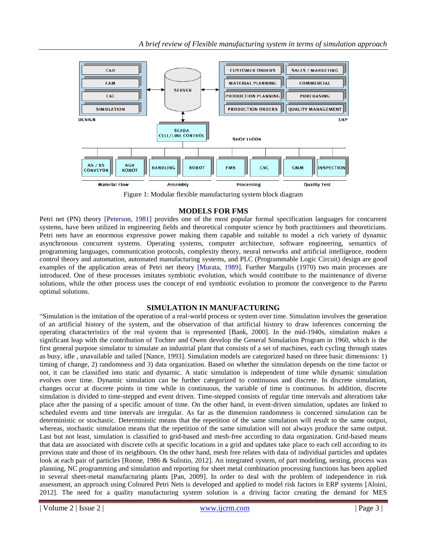

Figure 1: Modular flexible manufacturing system block diagram

# **MODELS FOR FMS**

Petri net (PN) theory [Peterson, 1981] provides one of the most popular formal specification languages for concurrent systems, have been utilized in engineering fields and theoretical computer science by both practitioners and theoreticians. Petri nets have an enormous expressive power making them capable and suitable to model a rich variety of dynamic asynchronous concurrent systems. Operating systems, computer architecture, software engineering, semantics of programming languages, communication protocols, complexity theory, neural networks and artificial intelligence, modern control theory and automation, automated manufacturing systems, and PLC (Programmable Logic Circuit) design are good examples of the application areas of Petri net theory [Murata, 1989]. Further Margulis (1970) two main processes are introduced. One of these processes imitates symbiotic evolution, which would contribute to the maintenance of diverse solutions, while the other process uses the concept of end symbiotic evolution to promote the convergence to the Pareto optimal solutions.

### **SIMULATION IN MANUFACTURING**

"Simulation is the imitation of the operation of a real-world process or system over time. Simulation involves the generation of an artificial history of the system, and the observation of that artificial history to draw inferences concerning the operating characteristics of the real system that is represented [Bank, 2000]. In the mid-1940s, simulation makes a significant leap with the contribution of Tochter and Owen develop the General Simulation Program in 1960, which is the first general purpose simulator to simulate an industrial plant that consists of a set of machines, each cycling through states as busy, idle , unavailable and tailed [Nance, 1993]. Simulation models are categorized based on three basic dimensions: 1) timing of change, 2) randomness and 3) data organization. Based on whether the simulation depends on the time factor or not, it can be classified into static and dynamic. A static simulation is independent of time while dynamic simulation evolves over time. Dynamic simulation can be further categorized to continuous and discrete. In discrete simulation, changes occur at discrete points in time while in continuous, the variable of time is continuous. In addition, discrete simulation is divided to time-stepped and event driven. Time-stepped consists of regular time intervals and alterations take place after the passing of a specific amount of time. On the other hand, in event-driven simulation, updates are linked to scheduled events and time intervals are irregular. As far as the dimension randomness is concerned simulation can be deterministic or stochastic. Deterministic means that the repetition of the same simulation will result to the same output, whereas, stochastic simulation means that the repetition of the same simulation will not always produce the same output. Last but not least, simulation is classified to grid-based and mesh-free according to data organization. Grid-based means that data are associated with discrete cells at specific locations in a grid and updates take place to each cell according to its previous state and those of its neighbours. On the other hand, mesh free relates with data of individual particles and updates look at each pair of particles [Ronne, 1986 & Sulistio, 2012]. An integrated system, of part modeling, nesting, process was planning, NC programming and simulation and reporting for sheet metal combination processing functions has been applied in several sheet-metal manufacturing plants [Pan, 2009]. In order to deal with the problem of independence in risk assessment, an approach using Coloured Petri Nets is developed and applied to model risk factors in ERP systems [Aloini, 2012]. The need for a quality manufacturing system solution is a driving factor creating the demand for MES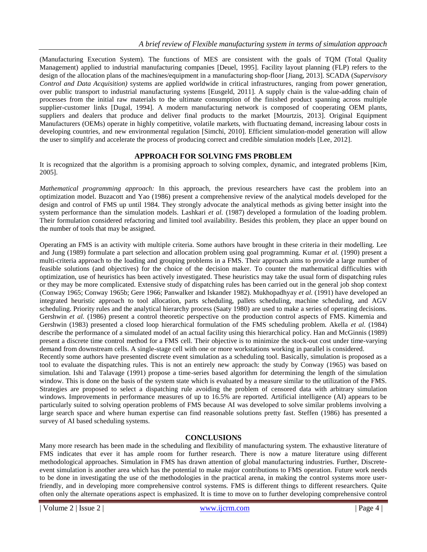(Manufacturing Execution System). The functions of MES are consistent with the goals of TQM (Total Quality Management) applied to industrial manufacturing companies [Deuel, 1995]. Facility layout planning (FLP) refers to the design of the allocation plans of the machines/equipment in a manufacturing shop-floor [Jiang, 2013]. SCADA (*Supervisory Control and Data Acquisition)* systems are applied worldwide in critical infrastructures, ranging from power generation, over public transport to industrial manufacturing systems [Eusgeld, 2011]. A supply chain is the value-adding chain of processes from the initial raw materials to the ultimate consumption of the finished product spanning across multiple supplier-customer links [Dugal, 1994]. A modern manufacturing network is composed of cooperating OEM plants, suppliers and dealers that produce and deliver final products to the market [Mourtzis, 2013]. Original Equipment Manufacturers (OEMs) operate in highly competitive, volatile markets, with fluctuating demand, increasing labour costs in developing countries, and new environmental regulation [Simchi, 2010]. Efficient simulation-model generation will allow the user to simplify and accelerate the process of producing correct and credible simulation models [Lee, 2012].

### **APPROACH FOR SOLVING FMS PROBLEM**

It is recognized that the algorithm is a promising approach to solving complex, dynamic, and integrated problems [Kim, 2005].

*Mathematical programming approach:* In this approach, the previous researchers have cast the problem into an optimization model. Buzacott and Yao (1986) present a comprehensive review of the analytical models developed for the design and control of FMS up until 1984. They strongly advocate the analytical methods as giving better insight into the system performance than the simulation models. Lashkari *et al.* (1987) developed a formulation of the loading problem. Their formulation considered refactoring and limited tool availability. Besides this problem, they place an upper bound on the number of tools that may be assigned.

Operating an FMS is an activity with multiple criteria. Some authors have brought in these criteria in their modelling. Lee and Jung (1989) formulate a part selection and allocation problem using goal programming. Kumar *et al.* (1990) present a multi-criteria approach to the loading and grouping problems in a FMS. Their approach aims to provide a large number of feasible solutions (and objectives) for the choice of the decision maker. To counter the mathematical difficulties with optimization, use of heuristics has been actively investigated. These heuristics may take the usual form of dispatching rules or they may be more complicated. Extensive study of dispatching rules has been carried out in the general job shop context (Conway 1965; Conway 1965b; Gere 1966; Panwalker and Iskander 1982). Mukhopadhyay *et al.* (1991) have developed an integrated heuristic approach to tool allocation, parts scheduling, pallets scheduling, machine scheduling, and AGV scheduling. Priority rules and the analytical hierarchy process (Saaty 1980) are used to make a series of operating decisions. Gershwin *et al.* (1986) present a control theoretic perspective on the production control aspects of FMS. Kimemia and Gershwin (1983) presented a closed loop hierarchical formulation of the FMS scheduling problem. Akella *et al.* (1984) describe the performance of a simulated model of an actual facility using this hierarchical policy. Han and McGinnis (1989) present a discrete time control method for a FMS cell. Their objective is to minimize the stock-out cost under time-varying demand from downstream cells. A single-stage cell with one or more workstations working in parallel is considered. Recently some authors have presented discrete event simulation as a scheduling tool. Basically, simulation is proposed as a tool to evaluate the dispatching rules. This is not an entirely new approach: the study by Conway (1965) was based on simulation. Ishi and Talavage (1991) propose a time-series based algorithm for determining the length of the simulation window. This is done on the basis of the system state which is evaluated by a measure similar to the utilization of the FMS. Strategies are proposed to select a dispatching rule avoiding the problem of censored data with arbitrary simulation windows. Improvements in performance measures of up to 16.5% are reported. Artificial intelligence (AI) appears to be particularly suited to solving operation problems of FMS because AI was developed to solve similar problems involving a large search space and where human expertise can find reasonable solutions pretty fast. Steffen (1986) has presented a survey of AI based scheduling systems.

### **CONCLUSIONS**

Many more research has been made in the scheduling and flexibility of manufacturing system. The exhaustive literature of FMS indicates that ever it has ample room for further research. There is now a mature literature using different methodological approaches. Simulation in FMS has drawn attention of global manufacturing industries. Further, Discreteevent simulation is another area which has the potential to make major contributions to FMS operation. Future work needs to be done in investigating the use of the methodologies in the practical arena, in making the control systems more userfriendly, and in developing more comprehensive control systems. FMS is different things to different researchers. Quite often only the alternate operations aspect is emphasized. It is time to move on to further developing comprehensive control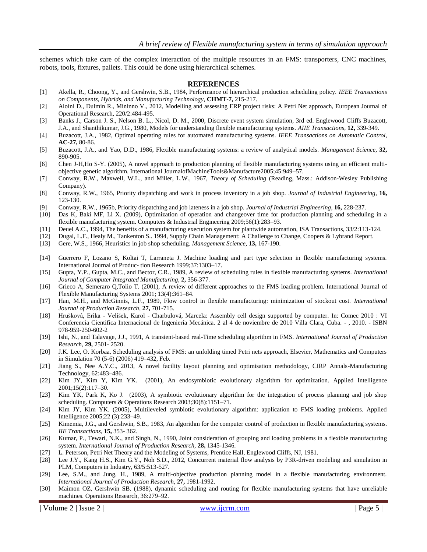schemes which take care of the complex interaction of the multiple resources in an FMS: transporters, CNC machines, robots, tools, fixtures, pallets. This could be done using hierarchical schemes.

#### **REFERENCES**

- [1] Akella, R., Choong, Y., and Gershwin, S.B., 1984, Performance of hierarchical production scheduling policy. *IEEE Transactions on Components, Hybrids, and Manufacturing Technology,* **CHMT-7,** 215-217.
- [2] Aloini D., Dulmin R., Mininno V., 2012, Modelling and assessing ERP project risks: A Petri Net approach, European Journal of Operational Research, 220/2:484-495.
- [3] Banks J., Carson J. S., Nelson B. L., Nicol, D. M., 2000, Discrete event system simulation, 3rd ed. Englewood Cliffs Buzacott, J.A., and Shanthikumar, J.G., 1980, Models for understanding flexible manufacturing systems. *AIIE Transactions*, **12,** 339-349.
- [4] Buzacott, J.A., 1982, Optimal operating rules for automated manufacturing systems. *IEEE Transactions on Automatic Control*, **AC-27,** 80-86.
- [5] Buzacott, J.A., and Yao, D.D., 1986, Flexible manufacturing systems: a review of analytical models. *Management Science,* **32,**  890-905.
- [6] Chen J-H,Ho S-Y. (2005), A novel approach to production planning of flexible manufacturing systems using an efficient multiobjective genetic algorithm. International JournalofMachineTools&Manufacture2005;45:949–57.
- [7] Conway, R.W., Maxwell, W.L., and Miller, L.W., 1967, *Theory of Scheduling* (Reading, Mass.: Addison-Wesley Publishing Company).
- [8] Conway, R.W., 1965, Priority dispatching and work in process inventory in a job shop. *Journal of Industrial Engineering*, **16,**  123-130.
- [9] Conway, R.W., 1965b, Priority dispatching and job lateness in a job shop. *Journal of Industrial Engineering*, **16,** 228-237.
- [10] Das K, Baki MF, Li X. (2009), Optimization of operation and changeover time for production planning and scheduling in a flexible manufacturing system. Computers & Industrial Engineering 2009;56(1):283–93.
- [11] Deuel A.C., 1994, The benefits of a manufacturing execution system for plantwide automation, ISA Transactions, 33/2:113-124.
- [12] Dugal, L.F., Healy M., Tankenton S.. 1994, Supply Chain Management: A Challenge to Change, Coopers & Lybrand Report.
- [13] Gere, W.S., 1966, Heuristics in job shop scheduling. *Management Science,* **13,** 167-190.
- [14] Guerrero F, Lozano S, Koltai T, Larraneta J. Machine loading and part type selection in flexible manufacturing systems. International Journal of Produc- tion Research 1999;37:1303–17.
- [15] Gupta, Y.P., Gupta, M.C., and Bector, C.R., 1989, A review of scheduling rules in flexible manufacturing systems. *International Journal of Computer Integrated Manufacturing*, **2,** 356-377.
- [16] Grieco A, Semeraro Q,Tolio T. (2001), A review of different approaches to the FMS loading problem. International Journal of Flexible Manufacturing Systems 2001; 13(4):361–84.
- [17] Han, M.H., and McGinnis, L.F., 1989, Flow control in flexible manufacturing: minimization of stockout cost. *International Journal of Production Research,* **27,** 701-715.
- [18] Hrušková, Erika Velíšek, Karol Charbulová, Marcela: Assembly cell design supported by computer. In: Comec 2010 : VI Conferencia Cientifica Internacional de Ingeniería Mecánica. 2 al 4 de noviembre de 2010 Villa Clara, Cuba. - , 2010. - ISBN 978-959-250-602-2
- [19] Ishi, N., and Talavage, J.J., 1991, A transient-based real-Time scheduling algorithm in FMS. *International Journal of Production Research,* **29,** 2501- 2520.
- [20] J.K. Lee, O. Korbaa, Scheduling analysis of FMS: an unfolding timed Petri nets approach, Elsevier, Mathematics and Computers in Simulation 70 (5-6) (2006) 419–432, Feb.
- [21] Jiang S., Nee A.Y.C., 2013, A novel facility layout planning and optimisation methodology, CIRP Annals-Manufacturing Technology, 62:483–486.
- [22] Kim JY, Kim Y, Kim YK. (2001), An endosymbiotic evolutionary algorithm for optimization. Applied Intelligence 2001;15(2):117–30.
- [23] Kim YK, Park K, Ko J. (2003), A symbiotic evolutionary algorithm for the integration of process planning and job shop scheduling. Computers & Operations Research 2003;30(8):1151–71.
- [24] Kim JY, Kim YK. (2005), Multileveled symbiotic evolutionary algorithm: application to FMS loading problems. Applied Intelligence 2005;22 (3):233–49.
- [25] Kimemia, J.G., and Gershwin, S.B., 1983, An algorithm for the computer control of production in flexible manufacturing systems. *IIE Transactions,* **15,** 353- 362.
- [26] Kumar, P., Tewari, N.K., and Singh, N., 1990, Joint consideration of grouping and loading problems in a flexible manufacturing system. *International Journal of Production Research,* **28,** 1345-1346.
- [27] L. Peterson, Petri Net Theory and the Modeling of Systems, Prentice Hall, Englewood Cliffs, NJ, 1981.
- [28] Lee J.Y., Kang H.S., Kim G.Y., Noh S.D., 2012, Concurrent material flow analysis by P3R-driven modeling and simulation in PLM, Computers in Industry, 63/5:513-527.
- [29] Lee, S.M., and Jung, H., 1989, A multi-objective production planning model in a flexible manufacturing environment. *International Journal of Production Research,* **27,** 1981-1992.
- [30] Maimon OZ, Gershwin SB. (1988), dynamic scheduling and routing for flexible manufacturing systems that have unreliable machines. Operations Research, 36:279–92.